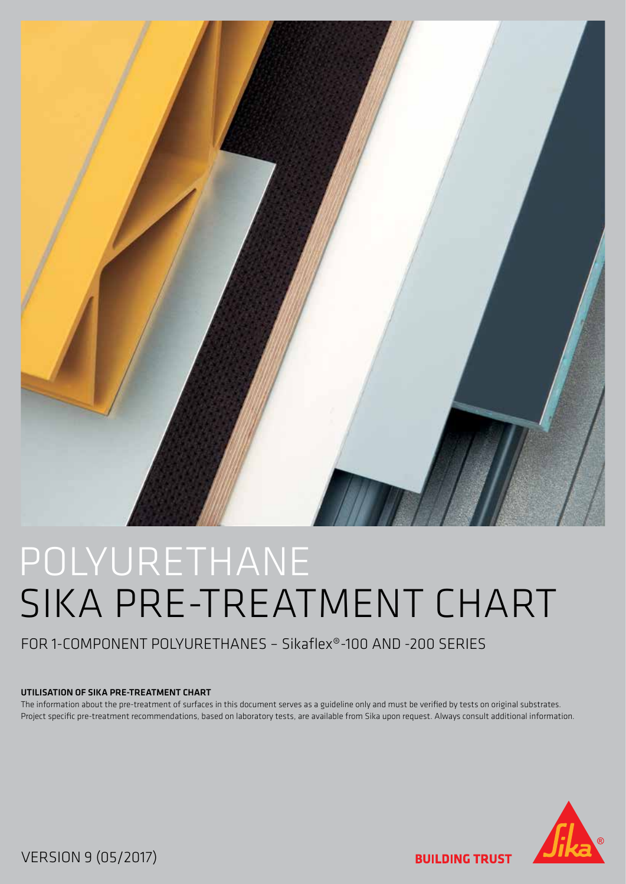

# POLYURETHANE SIKA PRE-TREATMENT CHART

### FOR 1-COMPONENT POLYURETHANES – Sikaflex®-100 AND -200 SERIES

#### UTILISATION OF SIKA PRE-TREATMENT CHART

The information about the pre-treatment of surfaces in this document serves as a guideline only and must be verified by tests on original substrates. Project specific pre-treatment recommendations, based on laboratory tests, are available from Sika upon request. Always consult additional information.



VERSION 9 (05/2017)

**BUILDING TRUST**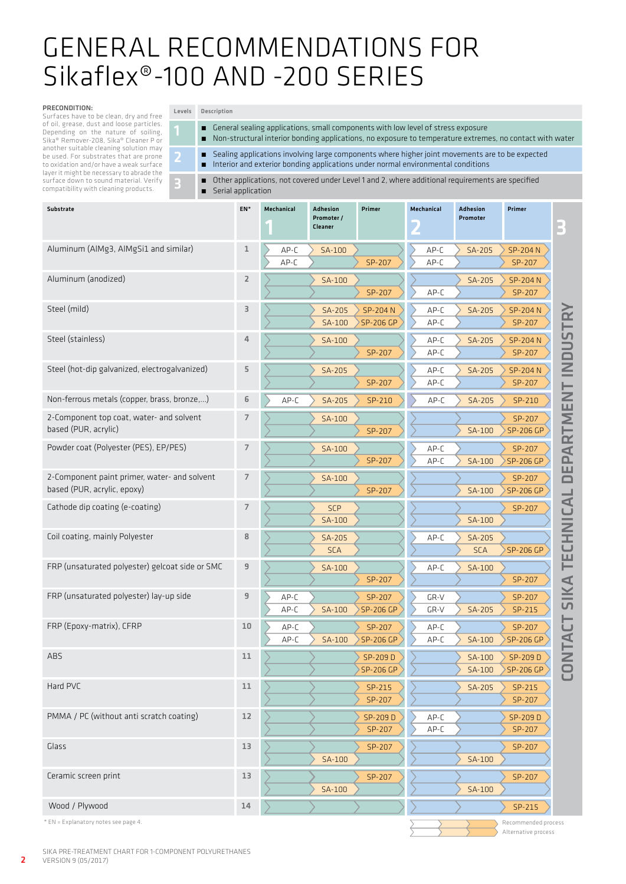## GENERAL RECOMMENDATIONS FOR Sikaflex®-100 AND -200 SERIES

#### PRECONDITION:

**College** 

Surfaces have to be clean, dry and free of oil, grease, dust and loose particles. Depending on the nature of soiling, Sika® Remover-208, Sika® Cleaner P or another suitable cleaning solution may be used. For substrates that are prone to oxidation and/or have a weak surface layer it might be necessary to abrade the surface down to sound material. Verify compatibility with cleaning products.

#### Levels Description

■ General sealing applications, small components with low level of stress exposure

**The Committee of the Committee** 

́ Non-structural interior bonding applications, no exposure to temperature extremes, no contact with water

Alternative process



**Contract** 



3 Other applications, not covered under Level 1 and 2, where additional requirements are specified<br>
Serial application ́ Serial application

| Substrate                                                                   | EN*            | Mechanical   | Adhesion<br>Promoter /<br>Cleaner | Primer                      | Mechanical   | Adhesion<br>Promoter | Primer                                        |
|-----------------------------------------------------------------------------|----------------|--------------|-----------------------------------|-----------------------------|--------------|----------------------|-----------------------------------------------|
| Aluminum (AlMg3, AlMgSi1 and similar)                                       | $\mathbf{1}$   | AP-C<br>AP-C | SA-100                            | SP-207                      | AP-C<br>AP-C | SA-205               | SP-204 N<br>SP-207                            |
| Aluminum (anodized)                                                         | $\overline{2}$ |              | SA-100                            | SP-207                      | AP-C         | SA-205               | <b>SP-204 N</b><br>SP-207                     |
| Steel (mild)                                                                | 3              |              | SA-205<br>SA-100                  | SP-204 N<br>SP-206 GP       | AP-C<br>AP-C | SA-205               | TRY<br>SP-204 N<br>SP-207                     |
| Steel (stainless)                                                           | 4              |              | SA-100                            | SP-207                      | AP-C<br>AP-C | SA-205               | <b>DUS</b><br>SP-204 N<br>SP-207              |
| Steel (hot-dip galvanized, electrogalvanized)                               | 5              |              | SA-205                            | SP-207                      | AP-C<br>AP-C | SA-205               | $\equiv$<br>SP-204 N<br>SP-207<br>Н           |
| Non-ferrous metals (copper, brass, bronze,)                                 | 6              | AP-C         | SA-205                            | SP-210                      | AP-C         | SA-205               | EN<br>SP-210                                  |
| 2-Component top coat, water- and solvent<br>based (PUR, acrylic)            | 7              |              | SA-100                            | SP-207                      |              | SA-100               | SP-207<br>SP-206 GP                           |
| Powder coat (Polyester (PES), EP/PES)                                       | $\overline{7}$ |              | SA-100                            | SP-207                      | AP-C<br>AP-C | SA-100               | EPARTM<br>SP-207<br>SP-206 GP                 |
| 2-Component paint primer, water- and solvent<br>based (PUR, acrylic, epoxy) | 7              |              | SA-100                            | SP-207                      |              | SA-100               | SP-207<br>$\Box$<br>SP-206 GP<br>┙            |
| Cathode dip coating (e-coating)                                             | 7              |              | <b>SCP</b><br>SA-100              |                             |              | SA-100               | $\blacktriangleleft$<br>SP-207<br><b>UNIC</b> |
| Coil coating, mainly Polyester                                              | 8              |              | SA-205<br><b>SCA</b>              |                             | AP-C         | SA-205<br><b>SCA</b> | SP-206 GP                                     |
| FRP (unsaturated polyester) gelcoat side or SMC                             | 9              |              | SA-100                            | SP-207                      | AP-C         | SA-100               | TECI<br>$\blacktriangleleft$<br>SP-207        |
| FRP (unsaturated polyester) lay-up side                                     | 9              | AP-C<br>AP-C | SA-100                            | SP-207<br>SP-206 GP         | GR-V<br>GR-V | SA-205               | <b>SIK</b><br>SP-207<br>SP-215                |
| FRP (Epoxy-matrix), CFRP                                                    | 10             | AP-C<br>AP-C | SA-100                            | SP-207<br><b>SP-206 GP</b>  | AP-C<br>AP-C | SA-100               | <b>こ</b><br>SP-207<br>FA<br>SP-206 GP         |
| ABS                                                                         | 11             |              |                                   | SP-209D<br><b>SP-206 GP</b> |              | SA-100<br>SA-100     | Z<br>SP-209D<br>$\bigcirc$<br>SP-206 GP       |
| Hard PVC                                                                    | 11             |              |                                   | SP-215<br>SP-207            |              | SA-205               | $\cup$<br>SP-215<br>SP-207                    |
| PMMA / PC (without anti scratch coating)                                    | 12             |              |                                   | SP-209D<br>SP-207           | AP-C<br>AP-C |                      | SP-209D<br>SP-207                             |
| Glass                                                                       | 13             |              | SA-100                            | SP-207                      |              | SA-100               | SP-207                                        |
| Ceramic screen print                                                        | 13             |              | SA-100                            | SP-207                      |              | SA-100               | SP-207                                        |
| Wood / Plywood                                                              | 14             |              |                                   |                             |              |                      | SP-215                                        |
| * EN = Explanatory notes see page 4.                                        |                |              |                                   |                             |              |                      | Recommended process                           |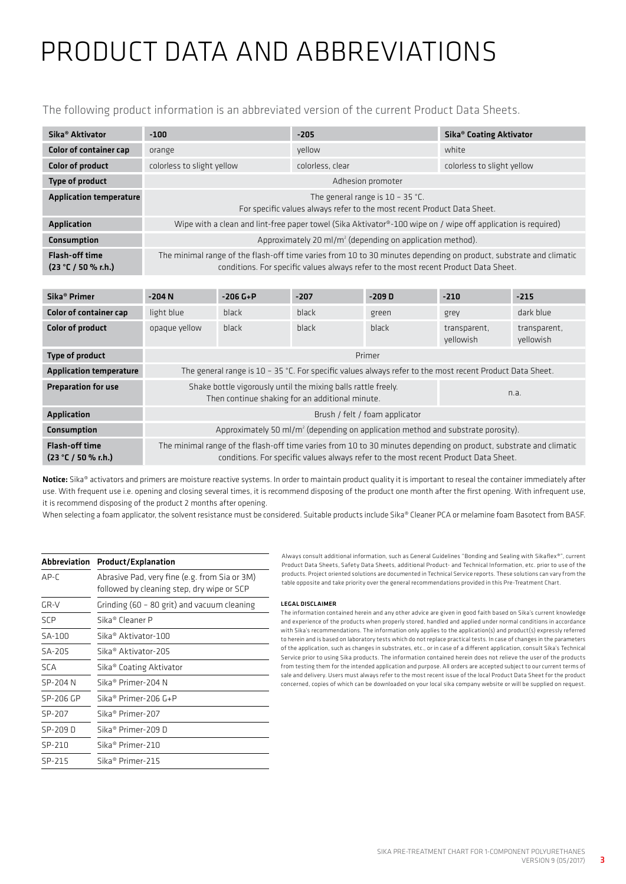# PRODUCT DATA AND ABBREVIATIONS

The following product information is an abbreviated version of the current Product Data Sheets.

| Sika <sup>®</sup> Aktivator                  | $-100$                                                                                                                                                                                                   | $-205$           | Sika <sup>®</sup> Coating Aktivator |  |  |
|----------------------------------------------|----------------------------------------------------------------------------------------------------------------------------------------------------------------------------------------------------------|------------------|-------------------------------------|--|--|
| <b>Color of container cap</b>                | orange                                                                                                                                                                                                   | vellow           | white                               |  |  |
| <b>Color of product</b>                      | colorless to slight yellow                                                                                                                                                                               | colorless, clear | colorless to slight yellow          |  |  |
| Type of product                              | Adhesion promoter                                                                                                                                                                                        |                  |                                     |  |  |
| <b>Application temperature</b>               | The general range is $10 - 35$ °C.<br>For specific values always refer to the most recent Product Data Sheet.                                                                                            |                  |                                     |  |  |
| <b>Application</b>                           | Wipe with a clean and lint-free paper towel (Sika Aktivator <sup>®</sup> -100 wipe on / wipe off application is required)                                                                                |                  |                                     |  |  |
| Consumption                                  | Approximately 20 ml/m <sup>2</sup> (depending on application method).                                                                                                                                    |                  |                                     |  |  |
| <b>Flash-off time</b><br>(23 °C / 50 % r.h.) | The minimal range of the flash-off time varies from 10 to 30 minutes depending on product, substrate and climatic<br>conditions. For specific values always refer to the most recent Product Data Sheet. |                  |                                     |  |  |

| Sika <sup>®</sup> Primer                     | $-204N$                                                                                                                                                                                                  | $-206 G + P$ | $-207$       | $-209D$      | $-210$                    | $-215$                    |
|----------------------------------------------|----------------------------------------------------------------------------------------------------------------------------------------------------------------------------------------------------------|--------------|--------------|--------------|---------------------------|---------------------------|
| <b>Color of container cap</b>                | light blue                                                                                                                                                                                               | black        | <b>black</b> | green        | grey                      | dark blue                 |
| <b>Color of product</b>                      | opaque yellow                                                                                                                                                                                            | black        | <b>black</b> | <b>black</b> | transparent,<br>vellowish | transparent.<br>yellowish |
| Type of product                              | Primer                                                                                                                                                                                                   |              |              |              |                           |                           |
| <b>Application temperature</b>               | The general range is 10 - 35 °C. For specific values always refer to the most recent Product Data Sheet.                                                                                                 |              |              |              |                           |                           |
| <b>Preparation for use</b>                   | Shake bottle vigorously until the mixing balls rattle freely.<br>n.a.<br>Then continue shaking for an additional minute.                                                                                 |              |              |              |                           |                           |
| Application                                  | Brush / felt / foam applicator                                                                                                                                                                           |              |              |              |                           |                           |
| <b>Consumption</b>                           | Approximately 50 ml/m <sup>2</sup> (depending on application method and substrate porosity).                                                                                                             |              |              |              |                           |                           |
| <b>Flash-off time</b><br>(23 °C / 50 % r.h.) | The minimal range of the flash-off time varies from 10 to 30 minutes depending on product, substrate and climatic<br>conditions. For specific values always refer to the most recent Product Data Sheet. |              |              |              |                           |                           |

Notice: Sika® activators and primers are moisture reactive systems. In order to maintain product quality it is important to reseal the container immediately after use. With frequent use i.e. opening and closing several times, it is recommend disposing of the product one month after the first opening. With infrequent use, it is recommend disposing of the product 2 months after opening.

When selecting a foam applicator, the solvent resistance must be considered. Suitable products include Sika® Cleaner PCA or melamine foam Basotect from BASF.

|            | Abbreviation Product/Explanation                                                            |
|------------|---------------------------------------------------------------------------------------------|
| AP-C       | Abrasive Pad, very fine (e.g. from Sia or 3M)<br>followed by cleaning step, dry wipe or SCP |
| GR-V       | Grinding (60 - 80 grit) and vacuum cleaning                                                 |
| <b>SCP</b> | Sika® Cleaner P                                                                             |
| SA-100     | Sika <sup>®</sup> Aktivator-100                                                             |
| SA-205     | Sika <sup>®</sup> Aktivator-205                                                             |
| <b>SCA</b> | Sika® Coating Aktivator                                                                     |
| SP-204 N   | Sika® Primer-204 N                                                                          |
| SP-206 GP  | Sika® Primer-206 G+P                                                                        |
| SP-207     | Sika <sup>®</sup> Primer-207                                                                |
| SP-209 D   | Sika <sup>®</sup> Primer-209 D                                                              |
| SP-210     | Sika® Primer-210                                                                            |
| SP-215     | Sika <sup>®</sup> Primer-215                                                                |

#### LEGAL DISCLAIMER

The information contained herein and any other advice are given in good faith based on Sika's current knowledge and experience of the products when properly stored, handled and applied under normal conditions in accordance with Sika's recommendations. The information only applies to the application(s) and product(s) expressly referred to herein and is based on laboratory tests which do not replace practical tests. In case of changes in the parameters of the application, such as changes in substrates, etc., or in case of a different application, consult Sika's Technical Service prior to using Sika products. The information contained herein does not relieve the user of the products from testing them for the intended application and purpose. All orders are accepted subject to our current terms of sale and delivery. Users must always refer to the most recent issue of the local Product Data Sheet for the product concerned, copies of which can be downloaded on your local sika company website or will be supplied on request.

Always consult additional information, such as General Guidelines "Bonding and Sealing with Sikaflex®", current Product Data Sheets, Safety Data Sheets, additional Product- and Technical Information, etc. prior to use of the products. Project oriented solutions are documented in Technical Service reports. These solutions can vary from the table opposite and take priority over the general recommendations provided in this Pre-Treatment Chart.